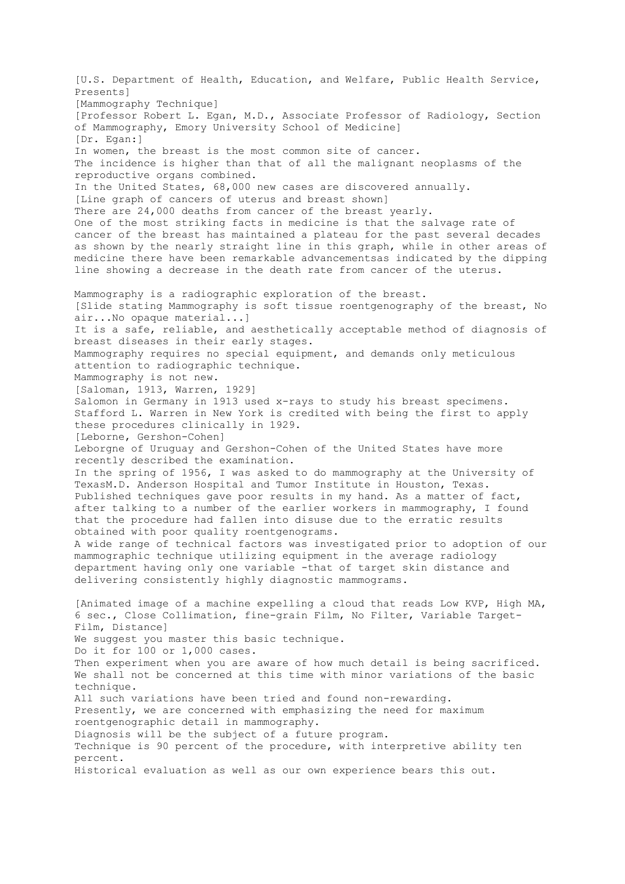[U.S. Department of Health, Education, and Welfare, Public Health Service, Presents] [Mammography Technique] [Professor Robert L. Egan, M.D., Associate Professor of Radiology, Section of Mammography, Emory University School of Medicine] [Dr. Egan:] In women, the breast is the most common site of cancer. The incidence is higher than that of all the malignant neoplasms of the reproductive organs combined. In the United States, 68,000 new cases are discovered annually. [Line graph of cancers of uterus and breast shown] There are 24,000 deaths from cancer of the breast yearly. One of the most striking facts in medicine is that the salvage rate of cancer of the breast has maintained a plateau for the past several decades as shown by the nearly straight line in this graph, while in other areas of medicine there have been remarkable advancementsas indicated by the dipping line showing a decrease in the death rate from cancer of the uterus. Mammography is a radiographic exploration of the breast. [Slide stating Mammography is soft tissue roentgenography of the breast, No air...No opaque material...] It is a safe, reliable, and aesthetically acceptable method of diagnosis of breast diseases in their early stages. Mammography requires no special equipment, and demands only meticulous attention to radiographic technique. Mammography is not new. [Saloman, 1913, Warren, 1929] Salomon in Germany in 1913 used x-rays to study his breast specimens. Stafford L. Warren in New York is credited with being the first to apply these procedures clinically in 1929. [Leborne, Gershon-Cohen] Leborgne of Uruguay and Gershon-Cohen of the United States have more recently described the examination. In the spring of 1956, I was asked to do mammography at the University of TexasM.D. Anderson Hospital and Tumor Institute in Houston, Texas. Published techniques gave poor results in my hand. As a matter of fact, after talking to a number of the earlier workers in mammography, I found that the procedure had fallen into disuse due to the erratic results obtained with poor quality roentgenograms. A wide range of technical factors was investigated prior to adoption of our mammographic technique utilizing equipment in the average radiology department having only one variable -that of target skin distance and delivering consistently highly diagnostic mammograms. [Animated image of a machine expelling a cloud that reads Low KVP, High MA, 6 sec., Close Collimation, fine-grain Film, No Filter, Variable Target-Film, Distance] We suggest you master this basic technique. Do it for 100 or 1,000 cases. Then experiment when you are aware of how much detail is being sacrificed. We shall not be concerned at this time with minor variations of the basic technique. All such variations have been tried and found non-rewarding. Presently, we are concerned with emphasizing the need for maximum roentgenographic detail in mammography. Diagnosis will be the subject of a future program. Technique is 90 percent of the procedure, with interpretive ability ten percent. Historical evaluation as well as our own experience bears this out.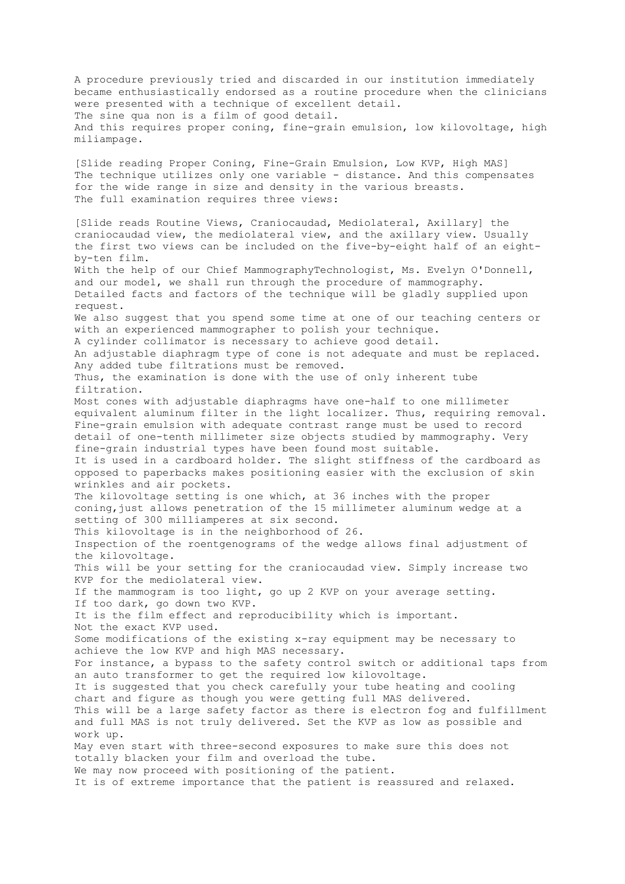A procedure previously tried and discarded in our institution immediately became enthusiastically endorsed as a routine procedure when the clinicians were presented with a technique of excellent detail. The sine qua non is a film of good detail. And this requires proper coning, fine-grain emulsion, low kilovoltage, high miliampage. [Slide reading Proper Coning, Fine-Grain Emulsion, Low KVP, High MAS] The technique utilizes only one variable - distance. And this compensates for the wide range in size and density in the various breasts. The full examination requires three views: [Slide reads Routine Views, Craniocaudad, Mediolateral, Axillary] the craniocaudad view, the mediolateral view, and the axillary view. Usually the first two views can be included on the five-by-eight half of an eightby-ten film. With the help of our Chief MammographyTechnologist, Ms. Evelyn O'Donnell, and our model, we shall run through the procedure of mammography. Detailed facts and factors of the technique will be gladly supplied upon request. We also suggest that you spend some time at one of our teaching centers or with an experienced mammographer to polish your technique. A cylinder collimator is necessary to achieve good detail. An adjustable diaphragm type of cone is not adequate and must be replaced. Any added tube filtrations must be removed. Thus, the examination is done with the use of only inherent tube filtration. Most cones with adjustable diaphragms have one-half to one millimeter equivalent aluminum filter in the light localizer. Thus, requiring removal. Fine-grain emulsion with adequate contrast range must be used to record detail of one-tenth millimeter size objects studied by mammography. Very fine-grain industrial types have been found most suitable. It is used in a cardboard holder. The slight stiffness of the cardboard as opposed to paperbacks makes positioning easier with the exclusion of skin wrinkles and air pockets. The kilovoltage setting is one which, at 36 inches with the proper coning,just allows penetration of the 15 millimeter aluminum wedge at a setting of 300 milliamperes at six second. This kilovoltage is in the neighborhood of 26. Inspection of the roentgenograms of the wedge allows final adjustment of the kilovoltage. This will be your setting for the craniocaudad view. Simply increase two KVP for the mediolateral view. If the mammogram is too light, go up 2 KVP on your average setting. If too dark, go down two KVP. It is the film effect and reproducibility which is important. Not the exact KVP used. Some modifications of the existing x-ray equipment may be necessary to achieve the low KVP and high MAS necessary. For instance, a bypass to the safety control switch or additional taps from an auto transformer to get the required low kilovoltage. It is suggested that you check carefully your tube heating and cooling chart and figure as though you were getting full MAS delivered. This will be a large safety factor as there is electron fog and fulfillment and full MAS is not truly delivered. Set the KVP as low as possible and work up. May even start with three-second exposures to make sure this does not totally blacken your film and overload the tube. We may now proceed with positioning of the patient. It is of extreme importance that the patient is reassured and relaxed.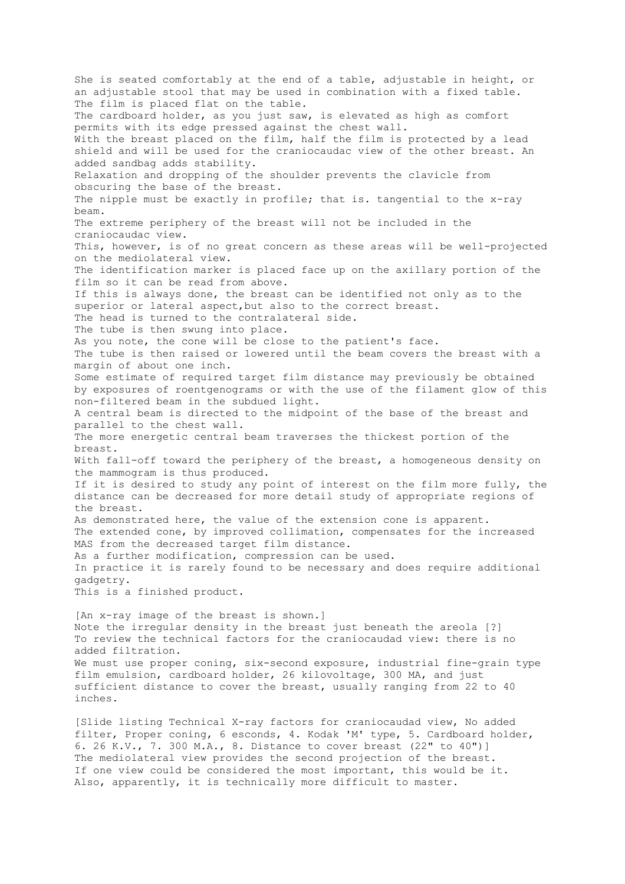She is seated comfortably at the end of a table, adjustable in height, or an adjustable stool that may be used in combination with a fixed table. The film is placed flat on the table. The cardboard holder, as you just saw, is elevated as high as comfort permits with its edge pressed against the chest wall. With the breast placed on the film, half the film is protected by a lead shield and will be used for the craniocaudac view of the other breast. An added sandbag adds stability. Relaxation and dropping of the shoulder prevents the clavicle from obscuring the base of the breast. The nipple must be exactly in profile; that is. tangential to the x-ray beam. The extreme periphery of the breast will not be included in the craniocaudac view. This, however, is of no great concern as these areas will be well-projected on the mediolateral view. The identification marker is placed face up on the axillary portion of the film so it can be read from above. If this is always done, the breast can be identified not only as to the superior or lateral aspect,but also to the correct breast. The head is turned to the contralateral side. The tube is then swung into place. As you note, the cone will be close to the patient's face. The tube is then raised or lowered until the beam covers the breast with a margin of about one inch. Some estimate of required target film distance may previously be obtained by exposures of roentgenograms or with the use of the filament glow of this non-filtered beam in the subdued light. A central beam is directed to the midpoint of the base of the breast and parallel to the chest wall. The more energetic central beam traverses the thickest portion of the breast. With fall-off toward the periphery of the breast, a homogeneous density on the mammogram is thus produced. If it is desired to study any point of interest on the film more fully, the distance can be decreased for more detail study of appropriate regions of the breast. As demonstrated here, the value of the extension cone is apparent. The extended cone, by improved collimation, compensates for the increased MAS from the decreased target film distance. As a further modification, compression can be used. In practice it is rarely found to be necessary and does require additional gadgetry. This is a finished product. [An x-ray image of the breast is shown.] Note the irregular density in the breast just beneath the areola [?] To review the technical factors for the craniocaudad view: there is no added filtration. We must use proper coning, six-second exposure, industrial fine-grain type film emulsion, cardboard holder, 26 kilovoltage, 300 MA, and just sufficient distance to cover the breast, usually ranging from 22 to 40 inches. [Slide listing Technical X-ray factors for craniocaudad view, No added filter, Proper coning, 6 esconds, 4. Kodak 'M' type, 5. Cardboard holder, 6. 26 K.V., 7. 300 M.A., 8. Distance to cover breast (22" to 40")]

The mediolateral view provides the second projection of the breast. If one view could be considered the most important, this would be it. Also, apparently, it is technically more difficult to master.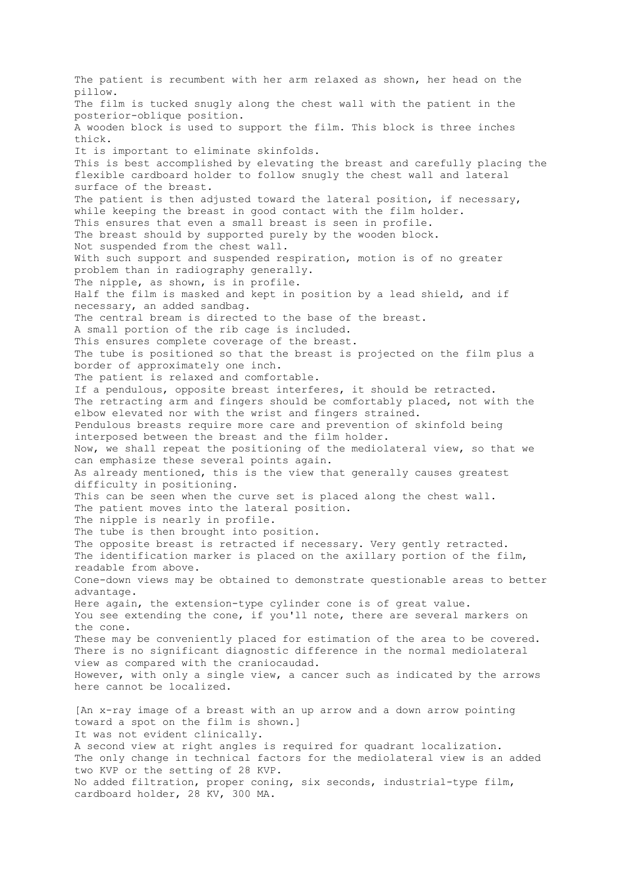The patient is recumbent with her arm relaxed as shown, her head on the pillow. The film is tucked snugly along the chest wall with the patient in the posterior-oblique position. A wooden block is used to support the film. This block is three inches thick. It is important to eliminate skinfolds. This is best accomplished by elevating the breast and carefully placing the flexible cardboard holder to follow snugly the chest wall and lateral surface of the breast. The patient is then adjusted toward the lateral position, if necessary, while keeping the breast in good contact with the film holder. This ensures that even a small breast is seen in profile. The breast should by supported purely by the wooden block. Not suspended from the chest wall. With such support and suspended respiration, motion is of no greater problem than in radiography generally. The nipple, as shown, is in profile. Half the film is masked and kept in position by a lead shield, and if necessary, an added sandbag. The central bream is directed to the base of the breast. A small portion of the rib cage is included. This ensures complete coverage of the breast. The tube is positioned so that the breast is projected on the film plus a border of approximately one inch. The patient is relaxed and comfortable. If a pendulous, opposite breast interferes, it should be retracted. The retracting arm and fingers should be comfortably placed, not with the elbow elevated nor with the wrist and fingers strained. Pendulous breasts require more care and prevention of skinfold being interposed between the breast and the film holder. Now, we shall repeat the positioning of the mediolateral view, so that we can emphasize these several points again. As already mentioned, this is the view that generally causes greatest difficulty in positioning. This can be seen when the curve set is placed along the chest wall. The patient moves into the lateral position. The nipple is nearly in profile. The tube is then brought into position. The opposite breast is retracted if necessary. Very gently retracted. The identification marker is placed on the axillary portion of the film, readable from above. Cone-down views may be obtained to demonstrate questionable areas to better advantage. Here again, the extension-type cylinder cone is of great value. You see extending the cone, if you'll note, there are several markers on the cone. These may be conveniently placed for estimation of the area to be covered. There is no significant diagnostic difference in the normal mediolateral view as compared with the craniocaudad. However, with only a single view, a cancer such as indicated by the arrows here cannot be localized. [An x-ray image of a breast with an up arrow and a down arrow pointing toward a spot on the film is shown.] It was not evident clinically. A second view at right angles is required for quadrant localization. The only change in technical factors for the mediolateral view is an added two KVP or the setting of 28 KVP. No added filtration, proper coning, six seconds, industrial-type film, cardboard holder, 28 KV, 300 MA.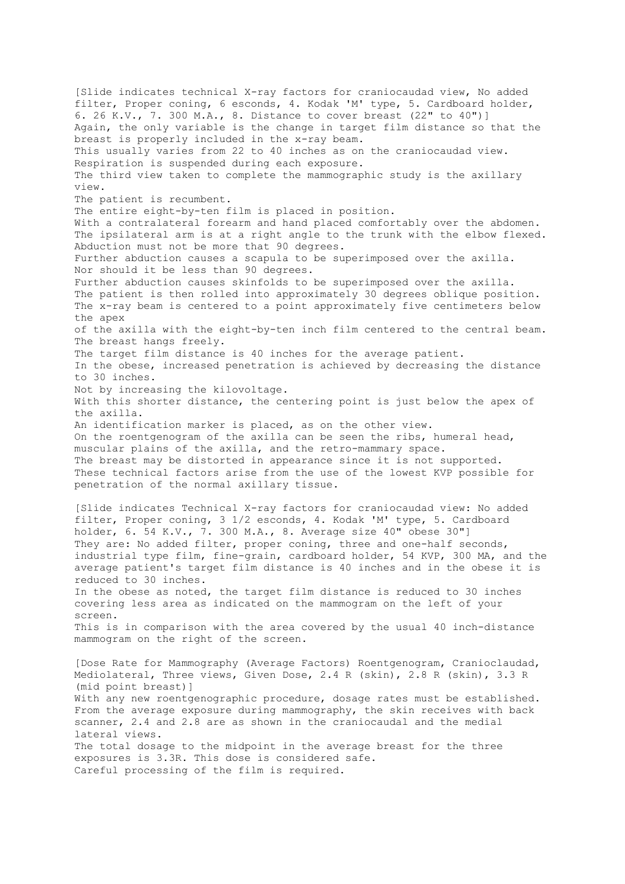[Slide indicates technical X-ray factors for craniocaudad view, No added filter, Proper coning, 6 esconds, 4. Kodak 'M' type, 5. Cardboard holder, 6. 26 K.V., 7. 300 M.A., 8. Distance to cover breast (22" to 40")] Again, the only variable is the change in target film distance so that the breast is properly included in the x-ray beam. This usually varies from 22 to 40 inches as on the craniocaudad view. Respiration is suspended during each exposure. The third view taken to complete the mammographic study is the axillary view. The patient is recumbent. The entire eight-by-ten film is placed in position. With a contralateral forearm and hand placed comfortably over the abdomen. The ipsilateral arm is at a right angle to the trunk with the elbow flexed. Abduction must not be more that 90 degrees. Further abduction causes a scapula to be superimposed over the axilla. Nor should it be less than 90 degrees. Further abduction causes skinfolds to be superimposed over the axilla. The patient is then rolled into approximately 30 degrees oblique position. The x-ray beam is centered to a point approximately five centimeters below the apex of the axilla with the eight-by-ten inch film centered to the central beam. The breast hangs freely. The target film distance is 40 inches for the average patient. In the obese, increased penetration is achieved by decreasing the distance to 30 inches. Not by increasing the kilovoltage. With this shorter distance, the centering point is just below the apex of the axilla. An identification marker is placed, as on the other view. On the roentgenogram of the axilla can be seen the ribs, humeral head, muscular plains of the axilla, and the retro-mammary space. The breast may be distorted in appearance since it is not supported. These technical factors arise from the use of the lowest KVP possible for penetration of the normal axillary tissue. [Slide indicates Technical X-ray factors for craniocaudad view: No added filter, Proper coning, 3 1/2 esconds, 4. Kodak 'M' type, 5. Cardboard holder, 6. 54 K.V., 7. 300 M.A., 8. Average size 40" obese 30"] They are: No added filter, proper coning, three and one-half seconds, industrial type film, fine-grain, cardboard holder, 54 KVP, 300 MA, and the average patient's target film distance is 40 inches and in the obese it is reduced to 30 inches. In the obese as noted, the target film distance is reduced to 30 inches covering less area as indicated on the mammogram on the left of your screen. This is in comparison with the area covered by the usual 40 inch-distance mammogram on the right of the screen. [Dose Rate for Mammography (Average Factors) Roentgenogram, Cranioclaudad, Mediolateral, Three views, Given Dose, 2.4 R (skin), 2.8 R (skin), 3.3 R (mid point breast)] With any new roentgenographic procedure, dosage rates must be established. From the average exposure during mammography, the skin receives with back scanner, 2.4 and 2.8 are as shown in the craniocaudal and the medial lateral views. The total dosage to the midpoint in the average breast for the three exposures is 3.3R. This dose is considered safe. Careful processing of the film is required.